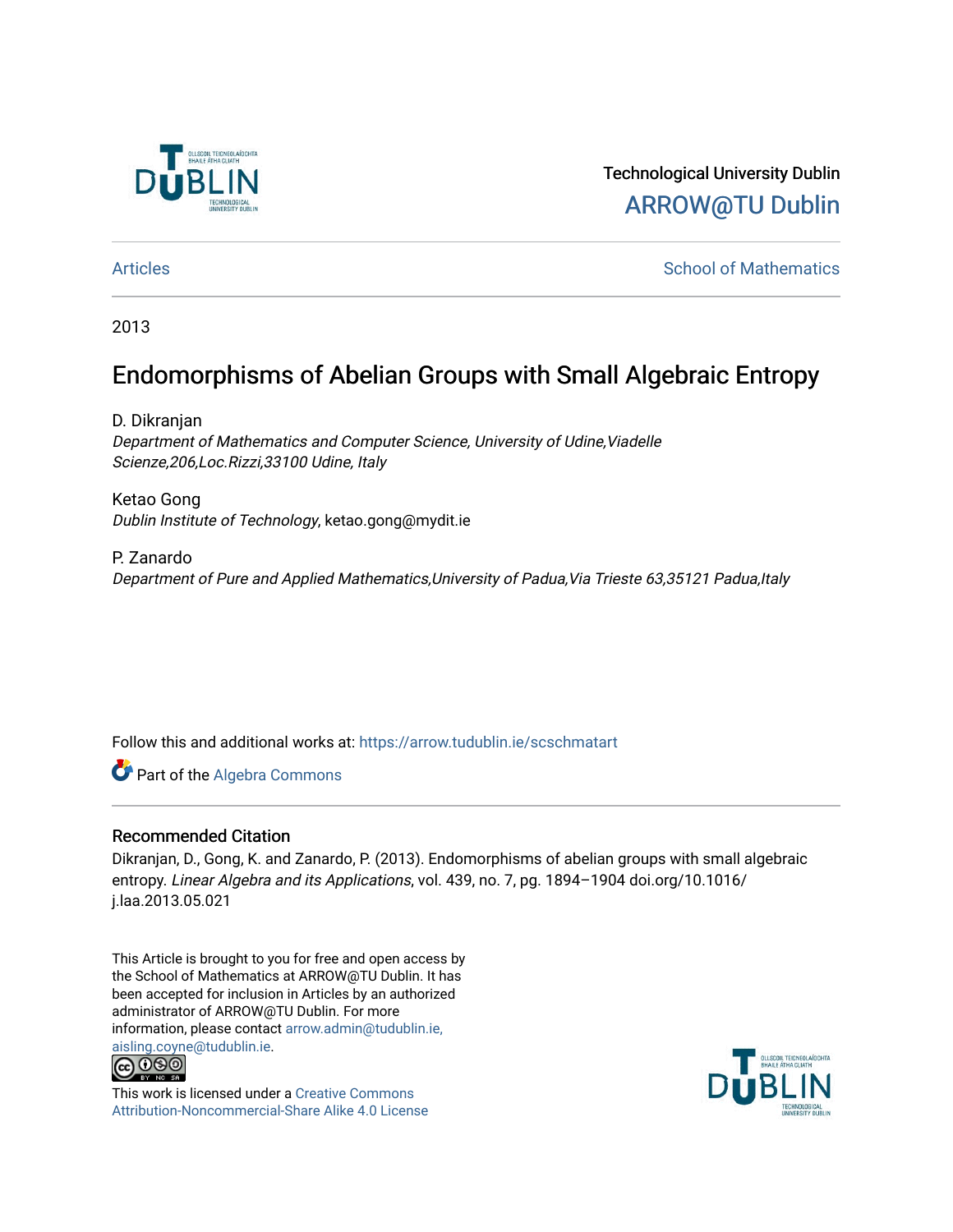

Technological University Dublin [ARROW@TU Dublin](https://arrow.tudublin.ie/) 

[Articles](https://arrow.tudublin.ie/scschmatart) **School of Mathematics** [School of Mathematics](https://arrow.tudublin.ie/scschmat) **School of Mathematics** 

2013

# Endomorphisms of Abelian Groups with Small Algebraic Entropy

D. Dikranjan Department of Mathematics and Computer Science, University of Udine,Viadelle Scienze,206,Loc.Rizzi,33100 Udine, Italy

Ketao Gong Dublin Institute of Technology, ketao.gong@mydit.ie

P. Zanardo Department of Pure and Applied Mathematics,University of Padua,Via Trieste 63,35121 Padua,Italy

Follow this and additional works at: [https://arrow.tudublin.ie/scschmatart](https://arrow.tudublin.ie/scschmatart?utm_source=arrow.tudublin.ie%2Fscschmatart%2F254&utm_medium=PDF&utm_campaign=PDFCoverPages)

Part of the [Algebra Commons](http://network.bepress.com/hgg/discipline/175?utm_source=arrow.tudublin.ie%2Fscschmatart%2F254&utm_medium=PDF&utm_campaign=PDFCoverPages) 

### Recommended Citation

Dikranjan, D., Gong, K. and Zanardo, P. (2013). Endomorphisms of abelian groups with small algebraic entropy. Linear Algebra and its Applications, vol. 439, no. 7, pg. 1894–1904 doi.org/10.1016/ j.laa.2013.05.021

This Article is brought to you for free and open access by the School of Mathematics at ARROW@TU Dublin. It has been accepted for inclusion in Articles by an authorized administrator of ARROW@TU Dublin. For more information, please contact [arrow.admin@tudublin.ie,](mailto:arrow.admin@tudublin.ie,%20aisling.coyne@tudublin.ie)  [aisling.coyne@tudublin.ie.](mailto:arrow.admin@tudublin.ie,%20aisling.coyne@tudublin.ie)<br>© 090



This work is licensed under a [Creative Commons](http://creativecommons.org/licenses/by-nc-sa/4.0/) [Attribution-Noncommercial-Share Alike 4.0 License](http://creativecommons.org/licenses/by-nc-sa/4.0/)

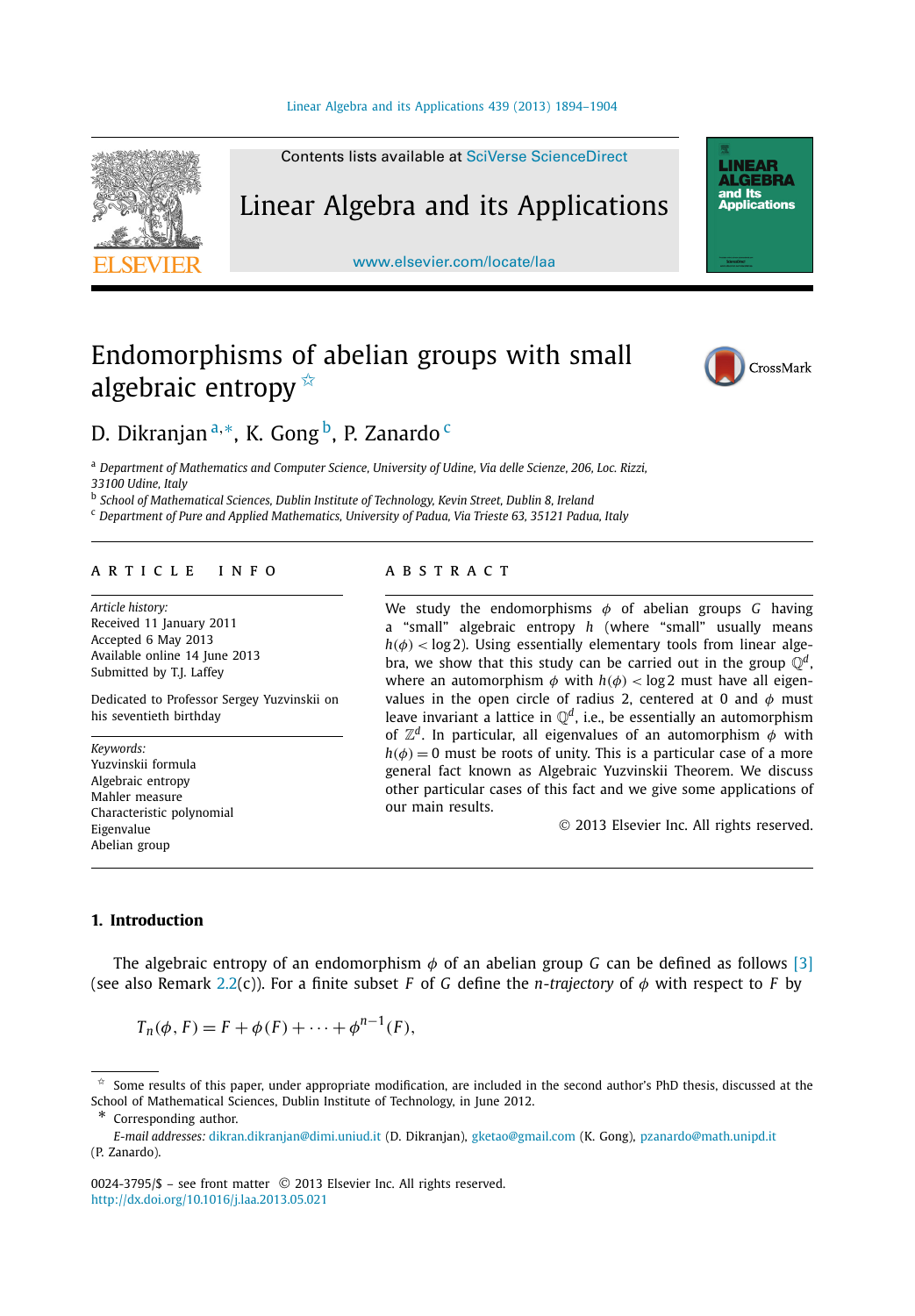

Contents lists available at [SciVerse ScienceDirect](http://www.ScienceDirect.com/)

# Linear Algebra and its Applications

[www.elsevier.com/locate/laa](http://www.elsevier.com/locate/laa)

# Endomorphisms of abelian groups with small algebraic entropy  $\overline{\mathbb{X}}$



**LINEAR AI GERRA** nd Its ana no<br>Applications

## D. Dikranjan<sup>a,∗</sup>, K. Gong<sup>b</sup>, P. Zanardo <sup>c</sup>

<sup>a</sup> *Department of Mathematics and Computer Science, University of Udine, Via delle Scienze, 206, Loc. Rizzi, 33100 Udine, Italy*

<sup>b</sup> *School of Mathematical Sciences, Dublin Institute of Technology, Kevin Street, Dublin 8, Ireland*

<sup>c</sup> *Department of Pure and Applied Mathematics, University of Padua, Via Trieste 63, 35121 Padua, Italy*

#### article info abstract

*Article history:* Received 11 January 2011 Accepted 6 May 2013 Available online 14 June 2013 Submitted by T.J. Laffey

Dedicated to Professor Sergey Yuzvinskii on his seventieth birthday

*Keywords:* Yuzvinskii formula Algebraic entropy Mahler measure Characteristic polynomial Eigenvalue Abelian group

We study the endomorphisms *φ* of abelian groups *G* having a "small" algebraic entropy *h* (where "small" usually means  $h(\phi)$  < log 2). Using essentially elementary tools from linear algebra, we show that this study can be carried out in the group  $\mathbb{O}^d$ , where an automorphism  $\phi$  with  $h(\phi) < \log 2$  must have all eigenvalues in the open circle of radius 2, centered at 0 and *φ* must leave invariant a lattice in  $\mathbb{Q}^d$ , i.e., be essentially an automorphism of Z*<sup>d</sup>*. In particular, all eigenvalues of an automorphism *φ* with  $h(\phi) = 0$  must be roots of unity. This is a particular case of a more general fact known as Algebraic Yuzvinskii Theorem. We discuss other particular cases of this fact and we give some applications of our main results.

© 2013 Elsevier Inc. All rights reserved.

### **1. Introduction**

The algebraic entropy of an endomorphism *φ* of an abelian group *G* can be defined as follows [\[3\]](#page-10-0) (see also Remark [2.2\(](#page-4-0)c)). For a finite subset *F* of *G* define the *n-trajectory* of *φ* with respect to *F* by

$$
T_n(\phi, F) = F + \phi(F) + \dots + \phi^{n-1}(F),
$$

 $\hat{\tau}$  Some results of this paper, under appropriate modification, are included in the second author's PhD thesis, discussed at the School of Mathematical Sciences, Dublin Institute of Technology, in June 2012.

<sup>\*</sup> Corresponding author.

*E-mail addresses:* [dikran.dikranjan@dimi.uniud.it](mailto:dikran.dikranjan@dimi.uniud.it) (D. Dikranjan), [gketao@gmail.com](mailto:gketao@gmail.com) (K. Gong), [pzanardo@math.unipd.it](mailto:pzanardo@math.unipd.it) (P. Zanardo).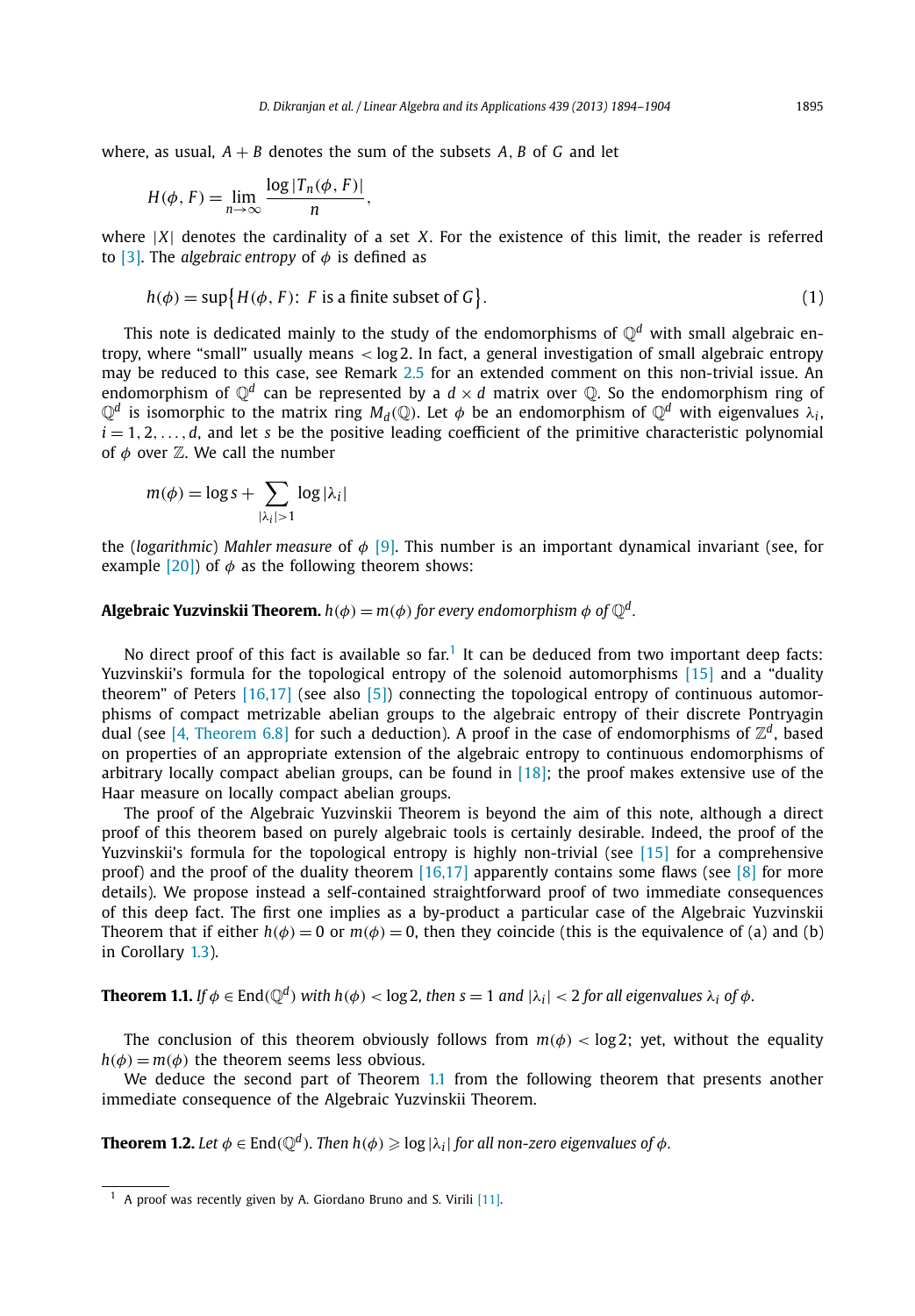<span id="page-2-0"></span>where, as usual,  $A + B$  denotes the sum of the subsets  $A$ ,  $B$  of  $G$  and let

$$
H(\phi, F) = \lim_{n \to \infty} \frac{\log |T_n(\phi, F)|}{n},
$$

where |*X*| denotes the cardinality of a set *X*. For the existence of this limit, the reader is referred to [\[3\].](#page-10-0) The *algebraic entropy* of *φ* is defined as

$$
h(\phi) = \sup \{ H(\phi, F) : F \text{ is a finite subset of } G \}. \tag{1}
$$

This note is dedicated mainly to the study of the endomorphisms of  $\mathbb{O}^d$  with small algebraic entropy, where "small" usually means *<* log 2. In fact, a general investigation of small algebraic entropy may be reduced to this case, see Remark [2.5](#page-6-0) for an extended comment on this non-trivial issue. An endomorphism of  $\mathbb{O}^d$  can be represented by a  $d \times d$  matrix over  $\mathbb{O}$ . So the endomorphism ring of  $\mathbb{Q}^d$  is isomorphic to the matrix ring  $M_d(\mathbb{Q})$ . Let  $\phi$  be an endomorphism of  $\mathbb{Q}^d$  with eigenvalues  $\lambda_i$ ,  $i = 1, 2, \ldots, d$ , and let *s* be the positive leading coefficient of the primitive characteristic polynomial of  $\phi$  over  $\mathbb{Z}$ . We call the number

$$
m(\phi) = \log s + \sum_{|\lambda_i| > 1} \log |\lambda_i|
$$

the (*logarithmic*) *Mahler measure* of *φ* [\[9\].](#page-11-0) This number is an important dynamical invariant (see, for example  $[20]$ ) of  $\phi$  as the following theorem shows:

**Algebraic Yuzvinskii Theorem.**  $h(\phi) = m(\phi)$  for every endomorphism  $\phi$  of  $\mathbb{O}^d$ .

No direct proof of this fact is available so far.<sup>1</sup> It can be deduced from two important deep facts: Yuzvinskii's formula for the topological entropy of the solenoid automorphisms [\[15\]](#page-11-0) and a "duality theorem" of Peters [\[16,17\]](#page-11-0) (see also [\[5\]\)](#page-11-0) connecting the topological entropy of continuous automorphisms of compact metrizable abelian groups to the algebraic entropy of their discrete Pontryagin dual (see [\[4, Theorem 6.8\]](#page-11-0) for such a deduction). A proof in the case of endomorphisms of  $\mathbb{Z}^d$ , based on properties of an appropriate extension of the algebraic entropy to continuous endomorphisms of arbitrary locally compact abelian groups, can be found in  $[18]$ ; the proof makes extensive use of the Haar measure on locally compact abelian groups.

The proof of the Algebraic Yuzvinskii Theorem is beyond the aim of this note, although a direct proof of this theorem based on purely algebraic tools is certainly desirable. Indeed, the proof of the Yuzvinskii's formula for the topological entropy is highly non-trivial (see [\[15\]](#page-11-0) for a comprehensive proof) and the proof of the duality theorem [\[16,17\]](#page-11-0) apparently contains some flaws (see [\[8\]](#page-11-0) for more details). We propose instead a self-contained straightforward proof of two immediate consequences of this deep fact. The first one implies as a by-product a particular case of the Algebraic Yuzvinskii Theorem that if either  $h(\phi) = 0$  or  $m(\phi) = 0$ , then they coincide (this is the equivalence of (a) and (b) in Corollary [1.3\)](#page-3-0).

**Theorem 1.1.** If  $\phi \in \text{End}(\mathbb{Q}^d)$  with  $h(\phi) < \log 2$ , then  $s = 1$  and  $|\lambda_i| < 2$  for all eigenvalues  $\lambda_i$  of  $\phi$ .

The conclusion of this theorem obviously follows from  $m(\phi) < log 2$ ; yet, without the equality  $h(\phi) = m(\phi)$  the theorem seems less obvious.

We deduce the second part of Theorem 1.1 from the following theorem that presents another immediate consequence of the Algebraic Yuzvinskii Theorem.

 ${\bf Theorem~1.2.}$  Let  $\phi\in{\rm End}(\mathbb{Q}^d)$ . Then  $h(\phi)\geqslant\log|\lambda_i|$  for all non-zero eigenvalues of  $\phi.$ 

<sup>&</sup>lt;sup>1</sup> A proof was recently given by A. Giordano Bruno and S. Virili [\[11\].](#page-11-0)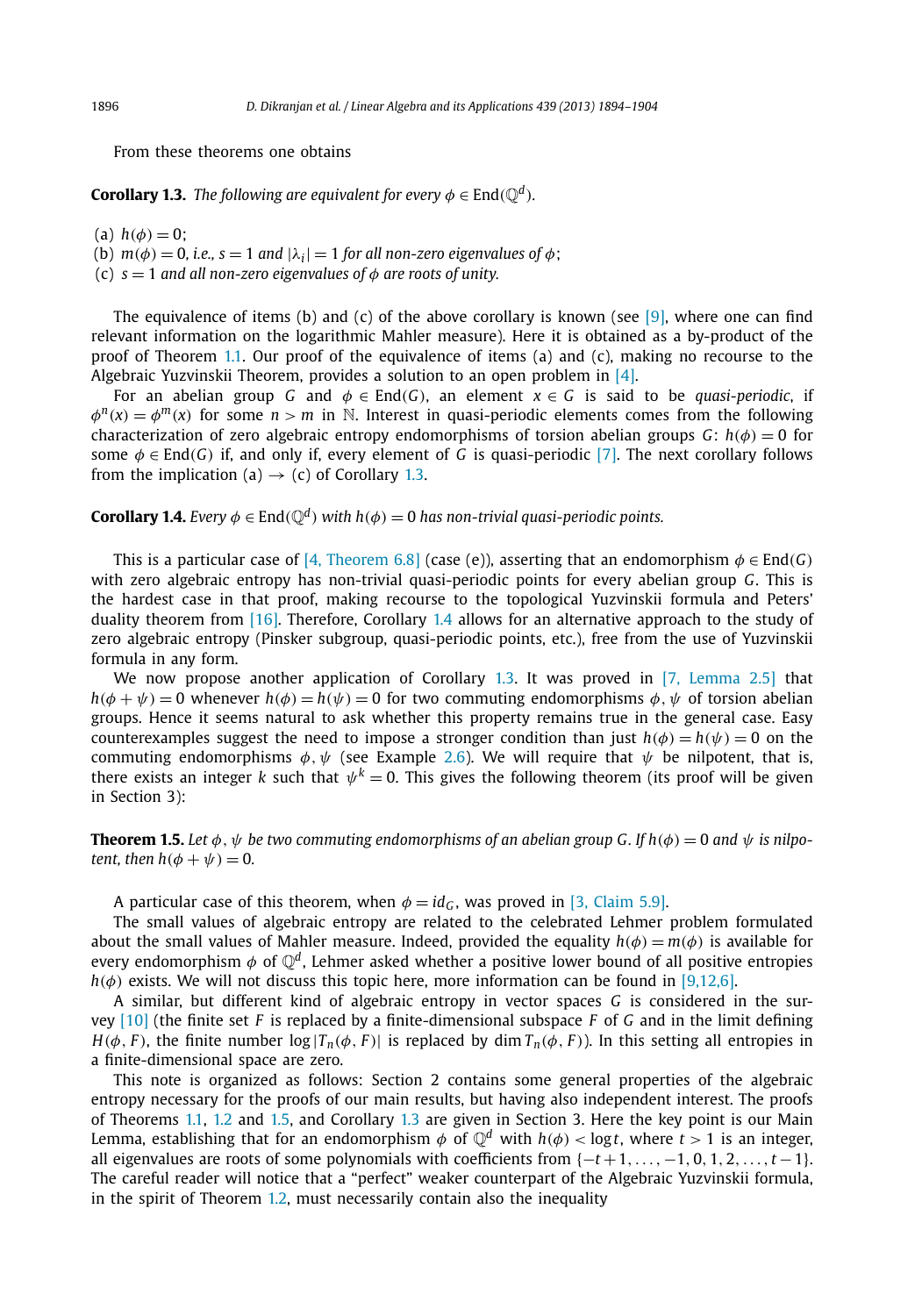<span id="page-3-0"></span>From these theorems one obtains

**Corollary 1.3.** *The following are equivalent for every*  $\phi \in \text{End}(\mathbb{Q}^d)$ *.* 

 $h(a) h(b) = 0$ ;

(b)  $m(\phi) = 0$ , *i.e.*,  $s = 1$  *and*  $|\lambda_i| = 1$  *for all non-zero eigenvalues of*  $\phi$ ;

(c)  $s = 1$  *and all non-zero eigenvalues of*  $\phi$  *are roots of unity.* 

The equivalence of items (b) and (c) of the above corollary is known (see [\[9\],](#page-11-0) where one can find relevant information on the logarithmic Mahler measure). Here it is obtained as a by-product of the proof of Theorem [1.1.](#page-2-0) Our proof of the equivalence of items (a) and (c), making no recourse to the Algebraic Yuzvinskii Theorem, provides a solution to an open problem in [\[4\].](#page-11-0)

For an abelian group *G* and  $\phi \in \text{End}(G)$ , an element  $x \in G$  is said to be *quasi-periodic*, if  $\phi^{n}(x) = \phi^{m}(x)$  for some  $n > m$  in N. Interest in quasi-periodic elements comes from the following characterization of zero algebraic entropy endomorphisms of torsion abelian groups *G*:  $h(\phi) = 0$  for some *φ* ∈ End*(G)* if, and only if, every element of *G* is quasi-periodic [\[7\].](#page-11-0) The next corollary follows from the implication (a)  $\rightarrow$  (c) of Corollary 1.3.

**Corollary 1.4.** *Every*  $\phi \in \text{End}(\mathbb{Q}^d)$  *with*  $h(\phi) = 0$  *has non-trivial quasi-periodic points.* 

This is a particular case of [4, [Theorem 6.8\]](#page-11-0) (case (e)), asserting that an endomorphism  $\phi \in \text{End}(G)$ with zero algebraic entropy has non-trivial quasi-periodic points for every abelian group *G*. This is the hardest case in that proof, making recourse to the topological Yuzvinskii formula and Peters' duality theorem from [\[16\].](#page-11-0) Therefore, Corollary 1.4 allows for an alternative approach to the study of zero algebraic entropy (Pinsker subgroup, quasi-periodic points, etc.), free from the use of Yuzvinskii formula in any form.

We now propose another application of Corollary 1.3. It was proved in [\[7, Lemma 2.5\]](#page-11-0) that *h*( $\phi + \psi$ ) = 0 whenever *h*( $\phi$ ) = *h*( $\psi$ ) = 0 for two commuting endomorphisms  $\phi, \psi$  of torsion abelian groups. Hence it seems natural to ask whether this property remains true in the general case. Easy counterexamples suggest the need to impose a stronger condition than just  $h(\phi) = h(\psi) = 0$  on the commuting endomorphisms  $\phi$ ,  $\psi$  (see Example [2.6\)](#page-6-0). We will require that  $\psi$  be nilpotent, that is, there exists an integer *k* such that  $\psi^k = 0$ . This gives the following theorem (its proof will be given in Section 3):

**Theorem 1.5.** Let  $\phi$ ,  $\psi$  be two commuting endomorphisms of an abelian group G. If  $h(\phi) = 0$  and  $\psi$  is nilpo*tent, then*  $h(\phi + \psi) = 0$ .

A particular case of this theorem, when  $\phi = id_G$ , was proved in [\[3, Claim 5.9\].](#page-10-0)

The small values of algebraic entropy are related to the celebrated Lehmer problem formulated about the small values of Mahler measure. Indeed, provided the equality  $h(\phi) = m(\phi)$  is available for every endomorphism  $\phi$  of  $\mathbb{Q}^d$ , Lehmer asked whether a positive lower bound of all positive entropies *h(φ)* exists. We will not discuss this topic here, more information can be found in [\[9,12,6\].](#page-11-0)

A similar, but different kind of algebraic entropy in vector spaces *G* is considered in the survey [\[10\]](#page-11-0) (the finite set *F* is replaced by a finite-dimensional subspace *F* of *G* and in the limit defining *H*( $\phi$ , *F*), the finite number log |*T<sub>n</sub>*( $\phi$ , *F*)| is replaced by dim *T<sub>n</sub>*( $\phi$ , *F*)). In this setting all entropies in a finite-dimensional space are zero.

This note is organized as follows: Section 2 contains some general properties of the algebraic entropy necessary for the proofs of our main results, but having also independent interest. The proofs of Theorems [1.1,](#page-2-0) [1.2](#page-2-0) and 1.5, and Corollary 1.3 are given in Section 3. Here the key point is our Main Lemma, establishing that for an endomorphism  $\phi$  of  $\mathbb{O}^d$  with  $h(\phi) <$  logt, where  $t > 1$  is an integer, all eigenvalues are roots of some polynomials with coefficients from  $\{-t+1,\ldots,-1,0,1,2,\ldots,t-1\}$ . The careful reader will notice that a "perfect" weaker counterpart of the Algebraic Yuzvinskii formula, in the spirit of Theorem [1.2,](#page-2-0) must necessarily contain also the inequality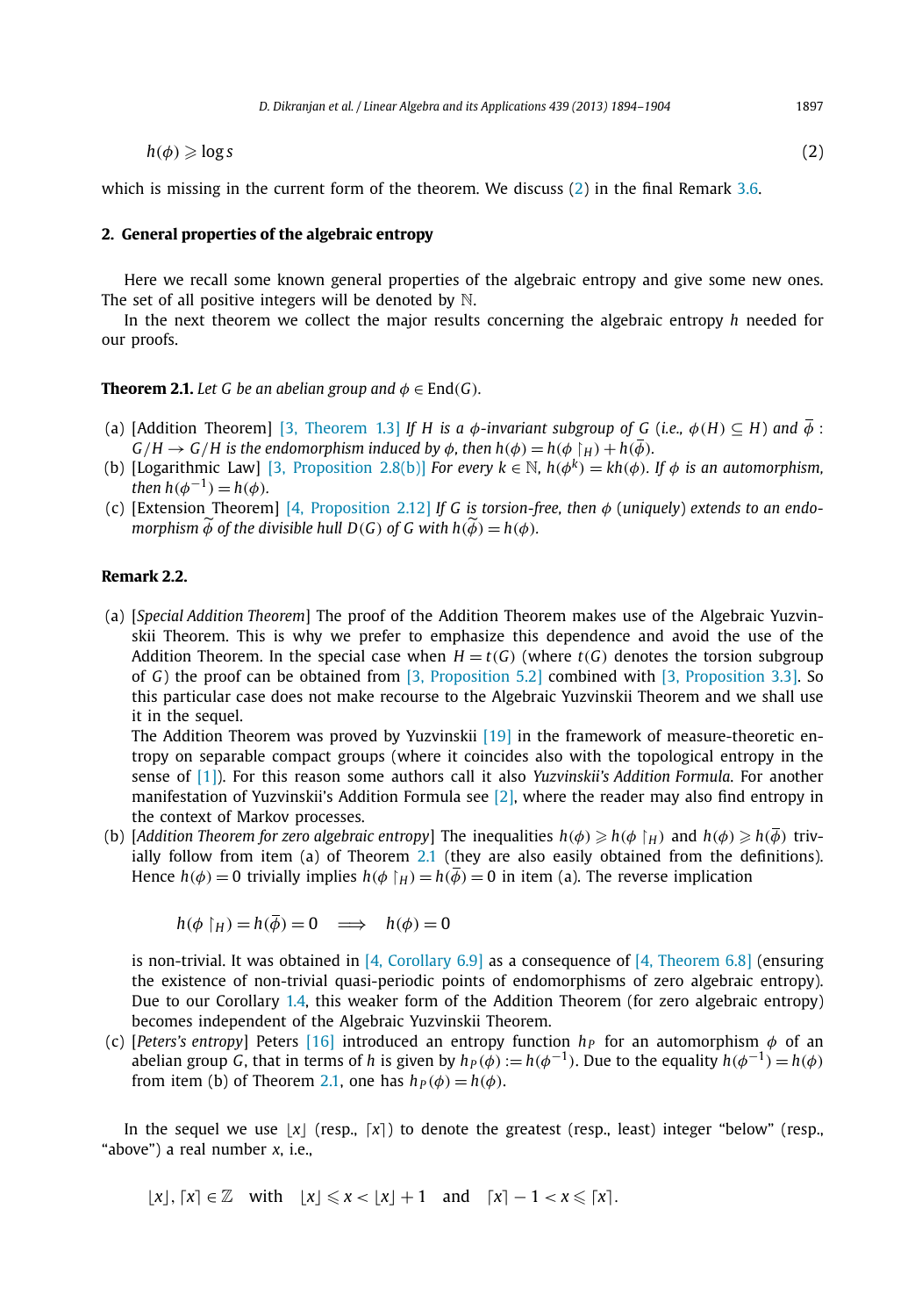<span id="page-4-0"></span>
$$
h(\phi) \geqslant \log s \tag{2}
$$

which is missing in the current form of the theorem. We discuss (2) in the final Remark [3.6.](#page-10-0)

#### **2. General properties of the algebraic entropy**

Here we recall some known general properties of the algebraic entropy and give some new ones. The set of all positive integers will be denoted by  $\mathbb N$ .

In the next theorem we collect the major results concerning the algebraic entropy *h* needed for our proofs.

#### **Theorem 2.1.** *Let G be an abelian group and*  $\phi \in \text{End}(G)$ *.*

- (a) [Addition Theorem] [\[3, Theorem 1.3\]](#page-10-0) *If H* is a  $\phi$ -invariant subgroup of G (i.e.,  $\phi(H) \subseteq H$ ) and  $\overline{\phi}$ :  $G/H \to G/H$  is the endomorphism induced by  $\phi$ , then  $h(\phi) = h(\phi \upharpoonright H) + h(\overline{\phi})$ .
- (b) [Logarithmic Law] [\[3, Proposition 2.8\(b\)\]](#page-10-0) *For every*  $k \in \mathbb{N}$ ,  $h(\phi^k) = kh(\phi)$ *. If*  $\phi$  *is an automorphism*, *then*  $h(\phi^{-1}) = h(\phi)$ *.*
- (c) [Extension Theorem] [4, [Proposition 2.12\]](#page-11-0) *If G is torsion-free, then φ* (*uniquely*) *extends to an endomorphism*  $\phi$  *of the divisible hull*  $D(G)$  *of*  $G$  *with*  $h(\phi) = h(\phi)$ *.*

#### **Remark 2.2.**

(a) [*Special Addition Theorem*] The proof of the Addition Theorem makes use of the Algebraic Yuzvinskii Theorem. This is why we prefer to emphasize this dependence and avoid the use of the Addition Theorem. In the special case when  $H = t(G)$  (where  $t(G)$  denotes the torsion subgroup of *G*) the proof can be obtained from [\[3, Proposition 5.2\]](#page-10-0) combined with [\[3, Proposition 3.3\].](#page-10-0) So this particular case does not make recourse to the Algebraic Yuzvinskii Theorem and we shall use it in the sequel.

The Addition Theorem was proved by Yuzvinskii [\[19\]](#page-11-0) in the framework of measure-theoretic entropy on separable compact groups (where it coincides also with the topological entropy in the sense of [\[1\]\)](#page-10-0). For this reason some authors call it also *Yuzvinskii's Addition Formula*. For another manifestation of Yuzvinskii's Addition Formula see [\[2\],](#page-10-0) where the reader may also find entropy in the context of Markov processes.

(b) [Addition Theorem for zero algebraic entropy] The inequalities  $h(\phi) \geqslant h(\phi \upharpoonright_H)$  and  $h(\phi) \geqslant h(\phi)$  trivially follow from item (a) of Theorem 2.1 (they are also easily obtained from the definitions). Hence  $h(\phi) = 0$  trivially implies  $h(\phi | H) = h(\overline{\phi}) = 0$  in item (a). The reverse implication

$$
h(\phi | H) = h(\overline{\phi}) = 0 \implies h(\phi) = 0
$$

is non-trivial. It was obtained in [\[4, Corollary 6.9\]](#page-11-0) as a consequence of [\[4, Theorem 6.8\]](#page-11-0) (ensuring the existence of non-trivial quasi-periodic points of endomorphisms of zero algebraic entropy). Due to our Corollary [1.4,](#page-3-0) this weaker form of the Addition Theorem (for zero algebraic entropy) becomes independent of the Algebraic Yuzvinskii Theorem.

(c) [*Peters's entropy*] Peters [\[16\]](#page-11-0) introduced an entropy function  $h<sub>P</sub>$  for an automorphism  $\phi$  of an abelian group *G*, that in terms of *h* is given by  $h_P(\phi) := h(\phi^{-1})$ . Due to the equality  $h(\phi^{-1}) = h(\phi)$ from item (b) of Theorem 2.1, one has  $h_P(\phi) = h(\phi)$ .

In the sequel we use  $\lfloor x \rfloor$  (resp.,  $\lceil x \rceil$ ) to denote the greatest (resp., least) integer "below" (resp., "above") a real number *x*, i.e.,

$$
\lfloor x \rfloor, \lceil x \rceil \in \mathbb{Z} \quad \text{with} \quad \lfloor x \rfloor \leq x < \lfloor x \rfloor + 1 \quad \text{and} \quad \lceil x \rceil - 1 < x \leq \lceil x \rceil.
$$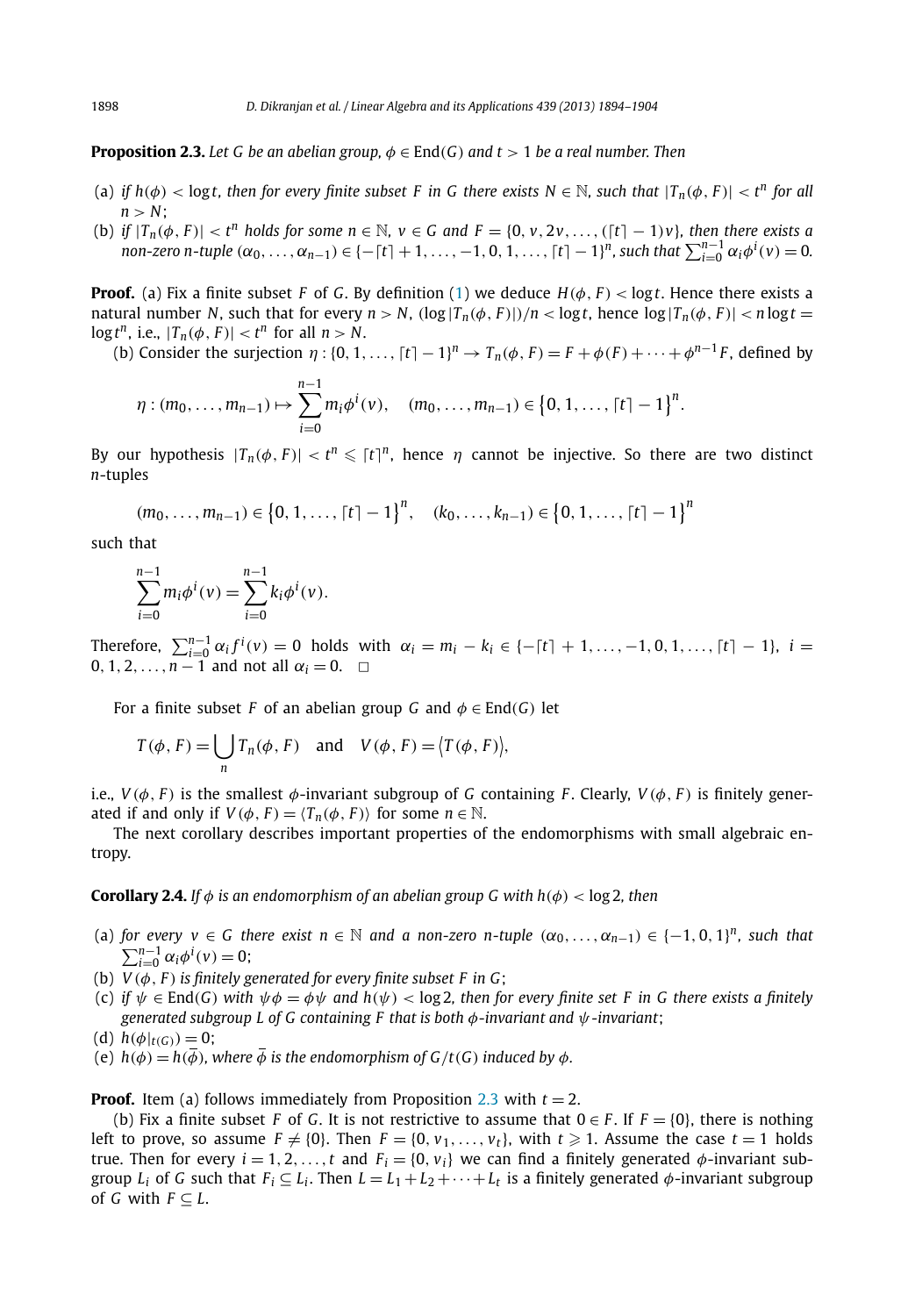<span id="page-5-0"></span>**Proposition 2.3.** Let G be an abelian group,  $\phi \in \text{End}(G)$  and  $t > 1$  be a real number. Then

- (a) if  $h(\phi) < \log t$ , then for every finite subset F in G there exists  $N \in \mathbb{N}$ , such that  $|T_n(\phi, F)| < t^n$  for all  $n > N$ ;
- (b) if  $|T_n(\phi, F)| < t^n$  holds for some  $n \in \mathbb{N}$ ,  $v \in G$  and  $F = \{0, v, 2v, ..., ([t] 1)v\}$ , then there exists a non-zero n-tuple  $(\alpha_0, ..., \alpha_{n-1}) \in \{-[t]+1, ..., -1, 0, 1, ..., [t]-1\}^n$ , such that  $\sum_{i=0}^{n-1} \alpha_i \phi^i(v) = 0$ .

**Proof.** (a) Fix a finite subset *F* of *G*. By definition [\(1\)](#page-2-0) we deduce  $H(\phi, F) < \log t$ . Hence there exists a natural number N, such that for every  $n > N$ ,  $(\log |T_n(\phi, F)|)/n < \log t$ , hence  $\log |T_n(\phi, F)| < n \log t =$  $\log t^n$ , i.e.,  $|T_n(\phi, F)| < t^n$  for all  $n > N$ .

(b) Consider the surjection  $\eta : \{0, 1, \ldots, [t] - 1\}^n \to T_n(\phi, F) = F + \phi(F) + \cdots + \phi^{n-1}F$ , defined by

$$
\eta:(m_0,\ldots,m_{n-1})\mapsto\sum_{i=0}^{n-1}m_i\phi^i(v),\quad (m_0,\ldots,m_{n-1})\in\left\{0,1,\ldots,\lceil t\rceil-1\right\}^n.
$$

By our hypothesis  $|T_n(\phi, F)| < t^n \leqslant [t]^n$ , hence  $\eta$  cannot be injective. So there are two distinct *n*-tuples

 $(m_0, \ldots, m_{n-1}) \in \{0, 1, \ldots, [t] - 1\}^n$ ,  $(k_0, \ldots, k_{n-1}) \in \{0, 1, \ldots, [t] - 1\}^n$ 

such that

$$
\sum_{i=0}^{n-1} m_i \phi^i(v) = \sum_{i=0}^{n-1} k_i \phi^i(v).
$$

Therefore,  $\sum_{i=0}^{n-1} \alpha_i f^i(v) = 0$  holds with  $\alpha_i = m_i - k_i \in \{-\lceil t \rceil + 1, ..., -1, 0, 1, ..., \lceil t \rceil - 1\}, i =$  $0, 1, 2, \ldots, n-1$  and not all  $\alpha_i = 0$ .  $\Box$ 

For a finite subset *F* of an abelian group *G* and  $\phi \in \text{End}(G)$  let

$$
T(\phi, F) = \bigcup_{n} T_n(\phi, F) \quad \text{and} \quad V(\phi, F) = \big\langle T(\phi, F) \big\rangle,
$$

i.e.,  $V(\phi, F)$  is the smallest  $\phi$ -invariant subgroup of *G* containing *F*. Clearly,  $V(\phi, F)$  is finitely generated if and only if  $V(\phi, F) = \langle T_n(\phi, F) \rangle$  for some  $n \in \mathbb{N}$ .

The next corollary describes important properties of the endomorphisms with small algebraic entropy.

**Corollary 2.4.** *If*  $\phi$  *is an endomorphism of an abelian group G with*  $h(\phi) < log 2$ *, then* 

- (a) *for every*  $v \in G$  *there exist*  $n \in \mathbb{N}$  *and a non-zero n-tuple*  $(\alpha_0, \ldots, \alpha_{n-1}) \in \{-1, 0, 1\}^n$ , such that  $\sum_{i=0}^{n-1} \alpha_i \phi^i(v) = 0;$
- (b)  $V(\phi, F)$  *is finitely generated for every finite subset F in G;*
- (c) if  $\psi \in \text{End}(G)$  with  $\psi \phi = \phi \psi$  and  $h(\psi) < \log 2$ , then for every finite set F in G there exists a finitely *generated subgroup L of G containing F that is both φ-invariant and ψ-invariant*;
- (d)  $h(\phi|_{t(G)}) = 0$ ;
- (e)  $h(\phi) = h(\overline{\phi})$ , where  $\overline{\phi}$  is the endomorphism of  $G/t(G)$  induced by  $\phi$ .

**Proof.** Item (a) follows immediately from Proposition 2.3 with  $t = 2$ .

(b) Fix a finite subset *F* of *G*. It is not restrictive to assume that  $0 \in F$ . If  $F = \{0\}$ , there is nothing left to prove, so assume  $F \neq \{0\}$ . Then  $F = \{0, v_1, \ldots, v_t\}$ , with  $t \geqslant 1$ . Assume the case  $t = 1$  holds true. Then for every  $i = 1, 2, ..., t$  and  $F_i = \{0, v_i\}$  we can find a finitely generated  $\phi$ -invariant subgroup  $L_i$  of G such that  $F_i \subseteq L_i$ . Then  $L = L_1 + L_2 + \cdots + L_t$  is a finitely generated  $\phi$ -invariant subgroup of *G* with  $F \subseteq L$ .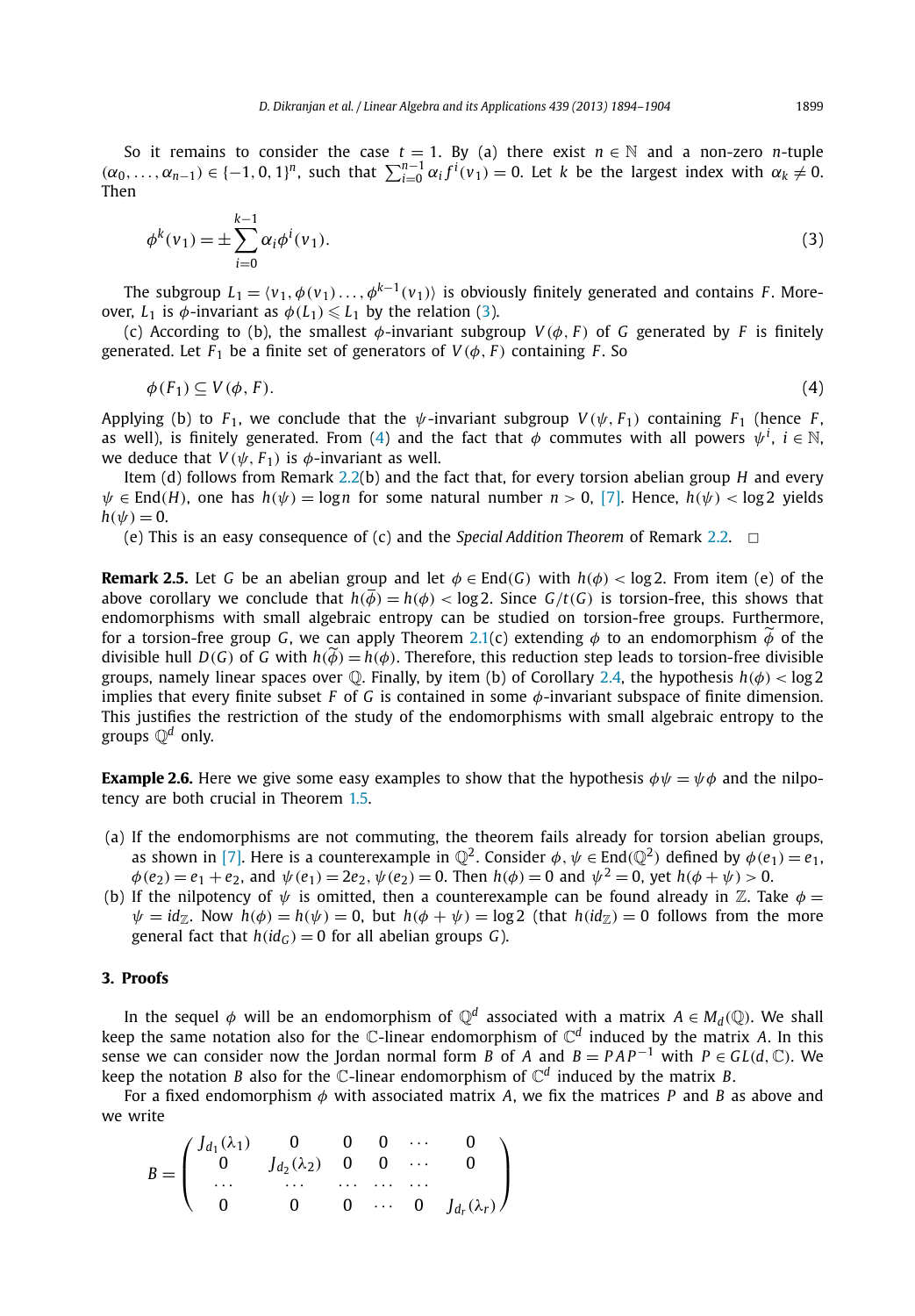<span id="page-6-0"></span>So it remains to consider the case  $t = 1$ . By (a) there exist  $n \in \mathbb{N}$  and a non-zero *n*-tuple  $(\alpha_0,\ldots,\alpha_{n-1})\in\{-1,0,1\}^n$ , such that  $\sum_{i=0}^{n-1}\alpha_i f^i(v_1)=0$ . Let k be the largest index with  $\alpha_k\neq 0$ . Then

$$
\phi^k(\nu_1) = \pm \sum_{i=0}^{k-1} \alpha_i \phi^i(\nu_1).
$$
\n(3)

The subgroup  $L_1 = \langle v_1, \phi(v_1), \ldots, \phi^{k-1}(v_1) \rangle$  is obviously finitely generated and contains *F*. Moreover,  $L_1$  is  $\phi$ -invariant as  $\phi(L_1) \leq L_1$  by the relation (3).

(c) According to (b), the smallest  $\phi$ -invariant subgroup  $V(\phi, F)$  of G generated by F is finitely generated. Let  $F_1$  be a finite set of generators of  $V(\phi, F)$  containing  $F$ . So

$$
\phi(F_1) \subseteq V(\phi, F). \tag{4}
$$

Applying (b) to  $F_1$ , we conclude that the  $\psi$ -invariant subgroup  $V(\psi, F_1)$  containing  $F_1$  (hence  $F$ , as well), is finitely generated. From (4) and the fact that  $\phi$  commutes with all powers  $\psi^i$ ,  $i \in \mathbb{N}$ , we deduce that  $V(\psi, F_1)$  is  $\phi$ -invariant as well.

Item (d) follows from Remark [2.2\(](#page-4-0)b) and the fact that, for every torsion abelian group *H* and every  $\psi \in$  End(*H*), one has  $h(\psi) = \log n$  for some natural number  $n > 0$ , [\[7\].](#page-11-0) Hence,  $h(\psi) < \log 2$  yields  $h(\psi) = 0$ .

(e) This is an easy consequence of (c) and the *Special Addition Theorem* of Remark [2.2.](#page-4-0) ✷

**Remark 2.5.** Let *G* be an abelian group and let  $\phi \in End(G)$  with  $h(\phi) < log2$ . From item (e) of the above corollary we conclude that  $h(\vec{\phi}) = h(\phi) < \log 2$ . Since  $G/t(G)$  is torsion-free, this shows that endomorphisms with small algebraic entropy can be studied on torsion-free groups. Furthermore, for a torsion-free group *G*, we can apply Theorem [2.1\(](#page-4-0)c) extending  $\phi$  to an endomorphism  $\phi$  of the divisible bull  $D(G)$  of *G* with  $h(\widetilde{A}) - h(A)$ . Therefore, this reduction stan leads to torsion free divisible divisible hull *D*(*G*) of *G* with  $h(\widetilde{\phi}) = h(\phi)$ . Therefore, this reduction step leads to torsion-free divisible groups, namely linear spaces over Q. Finally, by item (b) of Corollary [2.4,](#page-5-0) the hypothesis *h(φ) <* log 2 implies that every finite subset *F* of *G* is contained in some *φ*-invariant subspace of finite dimension. This justifies the restriction of the study of the endomorphisms with small algebraic entropy to the groups Q*<sup>d</sup>* only.

**Example 2.6.** Here we give some easy examples to show that the hypothesis  $\phi \psi = \psi \phi$  and the nilpotency are both crucial in Theorem [1.5.](#page-3-0)

- (a) If the endomorphisms are not commuting, the theorem fails already for torsion abelian groups, as shown in [\[7\].](#page-11-0) Here is a counterexample in  $\mathbb{Q}^2$ . Consider  $\phi, \psi \in \text{End}(\mathbb{Q}^2)$  defined by  $\phi(e_1) = e_1$ ,  $\phi$ (*e*<sub>2</sub>) = *e*<sub>1</sub> + *e*<sub>2</sub>, and  $\psi$ (*e*<sub>1</sub>) = 2*e*<sub>2</sub>,  $\psi$ (*e*<sub>2</sub>) = 0. Then *h*( $\phi$ ) = 0 and  $\psi$ <sup>2</sup> = 0, yet *h*( $\phi$  +  $\psi$ ) > 0.
- (b) If the nilpotency of  $\psi$  is omitted, then a counterexample can be found already in  $\mathbb Z$ . Take  $\phi$  =  $\psi = id$ <sub>Z</sub>. Now  $h(\phi) = h(\psi) = 0$ , but  $h(\phi + \psi) = \log 2$  (that  $h(id_Z) = 0$  follows from the more general fact that  $h(id_G) = 0$  for all abelian groups *G*).

### **3. Proofs**

In the sequel  $\phi$  will be an endomorphism of  $\mathbb{Q}^d$  associated with a matrix  $A \in M_d(\mathbb{Q})$ . We shall keep the same notation also for the  $\mathbb{C}$ -linear endomorphism of  $\mathbb{C}^d$  induced by the matrix *A*. In this sense we can consider now the Jordan normal form *B* of *A* and  $B = PAP^{-1}$  with  $P \in GL(d, \mathbb{C})$ . We keep the notation *B* also for the *C*-linear endomorphism of  $\mathbb{C}^d$  induced by the matrix *B*.

For a fixed endomorphism *φ* with associated matrix *A*, we fix the matrices *P* and *B* as above and we write

$$
B = \begin{pmatrix} J_{d_1}(\lambda_1) & 0 & 0 & 0 & \cdots & 0 \\ 0 & J_{d_2}(\lambda_2) & 0 & 0 & \cdots & 0 \\ \cdots & \cdots & \cdots & \cdots & \cdots & 0 \\ 0 & 0 & 0 & \cdots & 0 & J_{d_r}(\lambda_r) \end{pmatrix}
$$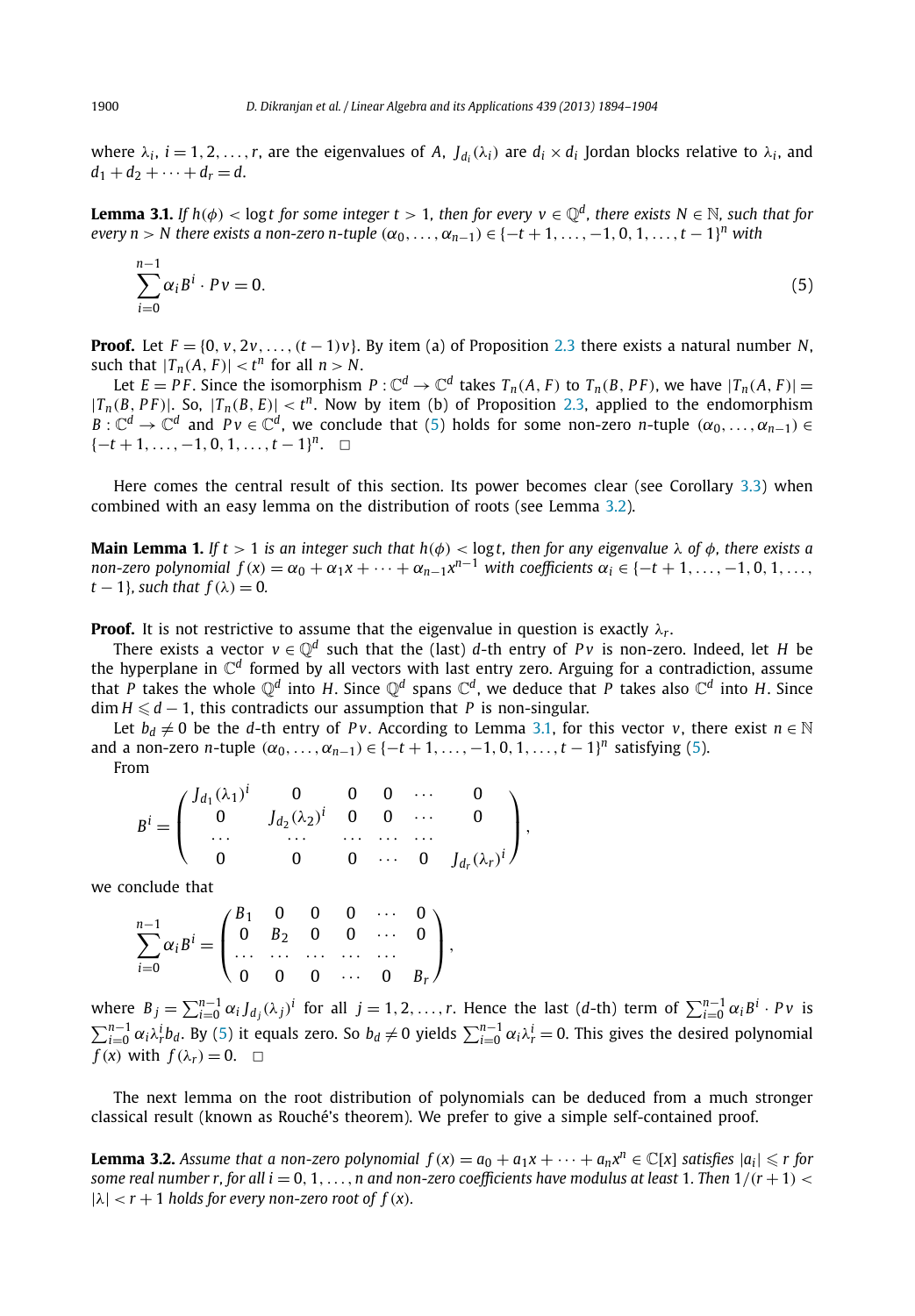<span id="page-7-0"></span>where  $\lambda_i$ ,  $i = 1, 2, ..., r$ , are the eigenvalues of A,  $J_{d_i}(\lambda_i)$  are  $d_i \times d_i$  Jordan blocks relative to  $\lambda_i$ , and  $d_1 + d_2 + \cdots + d_r = d.$ 

**Lemma 3.1.** *If*  $h(\phi) < \log t$  for some integer  $t > 1$ , then for every  $v \in \mathbb{Q}^d$ , there exists  $N \in \mathbb{N}$ , such that for  $e$ very  $n > N$  there exists a non-zero n-tuple  $(\alpha_0, \ldots, \alpha_{n-1}) \in \{-t+1, \ldots, -1, 0, 1, \ldots, t-1\}^n$  with

$$
\sum_{i=0}^{n-1} \alpha_i B^i \cdot P v = 0. \tag{5}
$$

**Proof.** Let  $F = \{0, v, 2v, \ldots, (t-1)v\}$ . By item (a) of Proposition [2.3](#page-5-0) there exists a natural number *N*, such that  $|T_n(A, F)| < t^n$  for all  $n > N$ .

Let  $E = PF$ . Since the isomorphism  $P: \mathbb{C}^d \to \mathbb{C}^d$  takes  $T_n(A, F)$  to  $T_n(B, PF)$ , we have  $|T_n(A, F)| =$  $|T_n(B, PF)|$ . So,  $|T_n(B, E)| < t^n$ . Now by item (b) of Proposition [2.3,](#page-5-0) applied to the endomorphism *B* :  $\mathbb{C}^d \to \mathbb{C}^d$  and  $Pv \in \mathbb{C}^d$ , we conclude that (5) holds for some non-zero *n*-tuple  $(\alpha_0, \ldots, \alpha_{n-1}) \in$  ${-t+1, ..., -1, 0, 1, ..., t-1}<sup>n</sup>. □$ 

Here comes the central result of this section. Its power becomes clear (see Corollary [3.3\)](#page-8-0) when combined with an easy lemma on the distribution of roots (see Lemma 3.2).

**Main Lemma 1.** *If*  $t > 1$  *is an integer such that*  $h(\phi) < \log t$ *, then for any eigenvalue*  $\lambda$  *of*  $\phi$ *, there exists a* non-zero polynomial  $f(x) = \alpha_0 + \alpha_1 x + \cdots + \alpha_{n-1} x^{n-1}$  with coefficients  $\alpha_i \in \{-t+1,\ldots,-1,0,1,\ldots\}$  $t - 1$ *}, such that*  $f(\lambda) = 0$ *.* 

**Proof.** It is not restrictive to assume that the eigenvalue in question is exactly  $\lambda_r$ .

There exists a vector  $v \in \mathbb{Q}^d$  such that the (last) *d*-th entry of *Pv* is non-zero. Indeed, let *H* be the hyperplane in C*<sup>d</sup>* formed by all vectors with last entry zero. Arguing for a contradiction, assume that *P* takes the whole  $\mathbb{Q}^d$  into *H*. Since  $\mathbb{Q}^d$  spans  $\mathbb{C}^d$ , we deduce that *P* takes also  $\mathbb{C}^d$  into *H*. Since  $\dim H \leq d-1$ , this contradicts our assumption that *P* is non-singular.

Let  $b_d \neq 0$  be the *d*-th entry of *Pv*. According to Lemma 3.1, for this vector *v*, there exist  $n \in \mathbb{N}$ and a non-zero *n*-tuple  $(\alpha_0, ..., \alpha_{n-1}) \in \{-t + 1, ..., -1, 0, 1, ..., t - 1\}^n$  satisfying (5). From

$$
B^{i} = \begin{pmatrix} J_{d_1}(\lambda_1)^{i} & 0 & 0 & 0 & \cdots & 0 \\ 0 & J_{d_2}(\lambda_2)^{i} & 0 & 0 & \cdots & 0 \\ \cdots & \cdots & \cdots & \cdots & \cdots & 0 \\ 0 & 0 & 0 & \cdots & 0 & J_{d_r}(\lambda_r)^{i} \end{pmatrix},
$$

we conclude that

$$
\sum_{i=0}^{n-1} \alpha_i B^i = \begin{pmatrix} B_1 & 0 & 0 & 0 & \cdots & 0 \\ 0 & B_2 & 0 & 0 & \cdots & 0 \\ \cdots & \cdots & \cdots & \cdots & \cdots & \cdots \\ 0 & 0 & 0 & \cdots & 0 & B_r \end{pmatrix},
$$

where  $B_j = \sum_{i=0}^{n-1} \alpha_i J_{d_j}(\lambda_j)^i$  for all  $j = 1, 2, ..., r$ . Hence the last (d-th) term of  $\sum_{i=0}^{n-1} \alpha_i B^i \cdot Pv$  is  $\sum_{i=0}^{n-1} \alpha_i \lambda_r^i b_d$ . By (5) it equals zero. So  $b_d \neq 0$  yields  $\sum_{i=0}^{n-1} \alpha_i \lambda_r^i = 0$ . This gives the desired polynomial  $f(x)$  with  $f(\lambda_r) = 0$ .  $\Box$ 

The next lemma on the root distribution of polynomials can be deduced from a much stronger classical result (known as Rouché's theorem). We prefer to give a simple self-contained proof.

**Lemma 3.2.** Assume that a non-zero polynomial  $f(x) = a_0 + a_1x + \cdots + a_nx^n \in \mathbb{C}[x]$  satisfies  $|a_i| \leq r$  for *some real number r, for all i* = 0, 1,  $\dots$ , *n* and non-zero coefficients have modulus at least 1. Then  $1/(r+1)$  <  $|\lambda| < r + 1$  *holds for every non-zero root of*  $f(x)$ *.*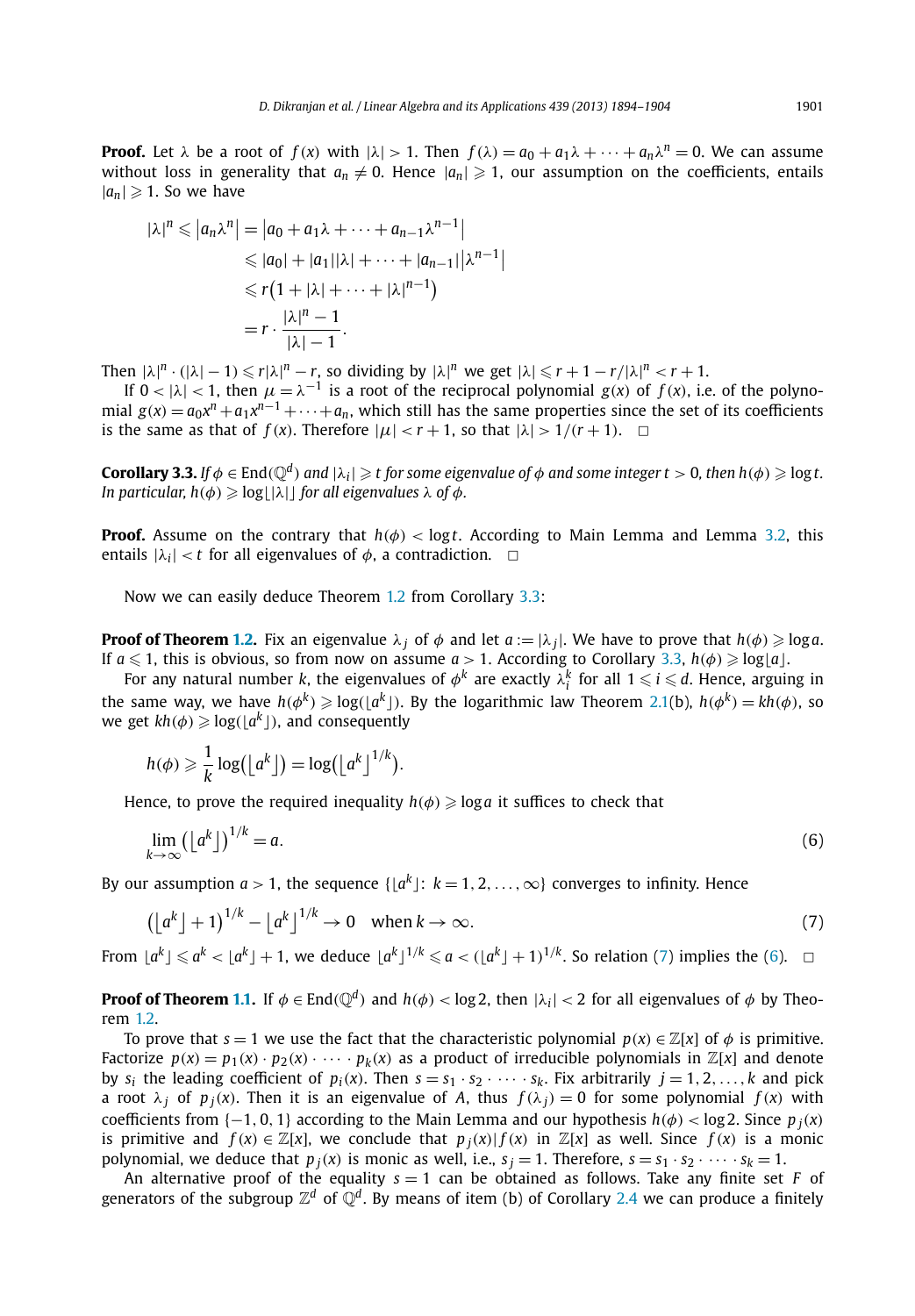<span id="page-8-0"></span>**Proof.** Let  $\lambda$  be a root of  $f(x)$  with  $|\lambda| > 1$ . Then  $f(\lambda) = a_0 + a_1\lambda + \cdots + a_n\lambda^n = 0$ . We can assume without loss in generality that  $a_n \neq 0$ . Hence  $|a_n| \geq 1$ , our assumption on the coefficients, entails  $|a_n| \geqslant 1$ . So we have

$$
|\lambda|^n \le |a_n \lambda^n| = |a_0 + a_1 \lambda + \dots + a_{n-1} \lambda^{n-1}|
$$
  
\n
$$
\le |a_0| + |a_1||\lambda| + \dots + |a_{n-1}||\lambda^{n-1}|
$$
  
\n
$$
\le r(1 + |\lambda| + \dots + |\lambda|^{n-1})
$$
  
\n
$$
= r \cdot \frac{|\lambda|^n - 1}{|\lambda| - 1}.
$$

Then  $|\lambda|^n \cdot (|\lambda| - 1) \le r |\lambda|^n - r$ , so dividing by  $|\lambda|^n$  we get  $|\lambda| \le r + 1 - r/|\lambda|^n < r + 1$ .

If  $0 < |\lambda| < 1$ , then  $\mu = \lambda^{-1}$  is a root of the reciprocal polynomial  $g(x)$  of  $f(x)$ , i.e. of the polynomial  $g(x) = a_0x^n + a_1x^{n-1} + \cdots + a_n$ , which still has the same properties since the set of its coefficients is the same as that of  $f(x)$ . Therefore  $|\mu| < r + 1$ , so that  $|\lambda| > 1/(r + 1)$ .  $\Box$ 

**Corollary 3.3.** If  $\phi \in \text{End}(\mathbb{Q}^d)$  and  $|\lambda_i| \geqslant t$  for some eigenvalue of  $\phi$  and some integer  $t > 0$ , then  $h(\phi) \geqslant \log t$ . *In particular, h*( $\phi$ )  $\geqslant$  log[| $\lambda$ |] for all eigenvalues  $\lambda$  of  $\phi$ .

**Proof.** Assume on the contrary that  $h(\phi) < \log t$ . According to Main Lemma and Lemma [3.2,](#page-7-0) this entails  $|\lambda_i| < t$  for all eigenvalues of  $\phi$ , a contradiction.  $\Box$ 

Now we can easily deduce Theorem [1.2](#page-2-0) from Corollary 3.3:

**Proof of Theorem [1.2.](#page-2-0)** Fix an eigenvalue  $\lambda_j$  of  $\phi$  and let  $a := |\lambda_j|$ . We have to prove that  $h(\phi) \geqslant \log a$ . If  $a \leq 1$ , this is obvious, so from now on assume  $a > 1$ . According to Corollary 3.3,  $h(\phi) \geqslant \log\lfloor a \rfloor$ .

For any natural number *k*, the eigenvalues of  $\phi^k$  are exactly  $\lambda_i^k$  for all  $1 \leq i \leq d$ . Hence, arguing in the same way, we have  $h(\phi^k) \geqslant \log(\lfloor a^k \rfloor)$ . By the logarithmic law Theorem [2.1\(](#page-4-0)b),  $h(\phi^k) = kh(\phi)$ , so  $\mathsf{w}\mathsf{e}\nolimits\mathsf{get}\nolimits\mathsf{k}\mathsf{h}(\phi)\geqslant\!\log(\lfloor\mathsf{a}^\mathsf{k}\rfloor)\mathsf{,}$  and consequently

$$
h(\phi) \geqslant \frac{1}{k} \log(\lfloor a^k \rfloor) = \log(\lfloor a^k \rfloor^{1/k}).
$$

Hence, to prove the required inequality  $h(\phi) \geqslant \log{a}$  it suffices to check that

$$
\lim_{k \to \infty} (\lfloor a^k \rfloor)^{1/k} = a. \tag{6}
$$

By our assumption  $a > 1$ , the sequence  $\{ \lfloor a^k \rfloor : \ k = 1, 2, \ldots, \infty \}$  converges to infinity. Hence

$$
\left(\left\lfloor a^k \right\rfloor + 1\right)^{1/k} - \left\lfloor a^k \right\rfloor^{1/k} \to 0 \quad \text{when } k \to \infty. \tag{7}
$$

From  $\lfloor a^k \rfloor \leq a^k < \lfloor a^k \rfloor + 1$ , we deduce  $\lfloor a^k \rfloor^{1/k} \leq a < (\lfloor a^k \rfloor + 1)^{1/k}$ . So relation (7) implies the (6).  $\Box$ 

**Proof of Theorem [1.1.](#page-2-0)** If  $\phi \in \text{End}(\mathbb{Q}^d)$  and  $h(\phi) < \log 2$ , then  $|\lambda_i| < 2$  for all eigenvalues of  $\phi$  by Theorem [1.2.](#page-2-0)

To prove that  $s = 1$  we use the fact that the characteristic polynomial  $p(x) \in \mathbb{Z}[x]$  of  $\phi$  is primitive. Factorize  $p(x) = p_1(x) \cdot p_2(x) \cdot \cdots \cdot p_k(x)$  as a product of irreducible polynomials in  $\mathbb{Z}[x]$  and denote by  $s_i$  the leading coefficient of  $p_i(x)$ . Then  $s = s_1 \cdot s_2 \cdot \cdots \cdot s_k$ . Fix arbitrarily  $j = 1, 2, \ldots, k$  and pick a root  $\lambda_j$  of  $p_j(x)$ . Then it is an eigenvalue of A, thus  $f(\lambda_j) = 0$  for some polynomial  $f(x)$  with coefficients from  $\{-1, 0, 1\}$  according to the Main Lemma and our hypothesis  $h(\phi) < \log 2$ . Since  $p_i(x)$ is primitive and  $f(x) \in \mathbb{Z}[x]$ , we conclude that  $p_i(x) | f(x)$  in  $\mathbb{Z}[x]$  as well. Since  $f(x)$  is a monic polynomial, we deduce that  $p_j(x)$  is monic as well, i.e.,  $s_j = 1$ . Therefore,  $s = s_1 \cdot s_2 \cdot \cdot \cdot \cdot s_k = 1$ .

An alternative proof of the equality  $s = 1$  can be obtained as follows. Take any finite set *F* of generators of the subgroup  $\mathbb{Z}^d$  of  $\mathbb{Q}^d$ . By means of item (b) of Corollary [2.4](#page-5-0) we can produce a finitely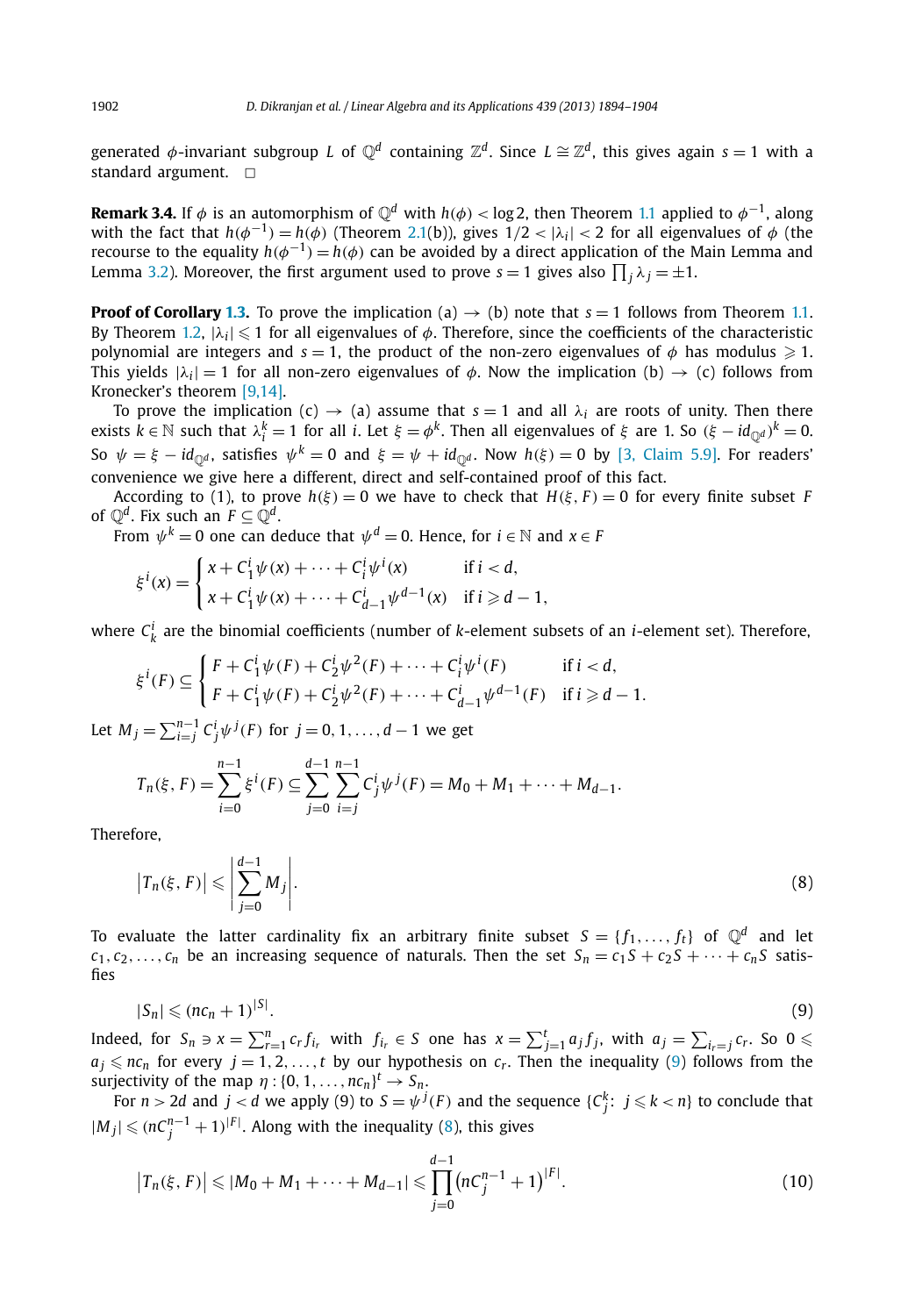<span id="page-9-0"></span>generated  $\phi$ -invariant subgroup *L* of  $\mathbb{Q}^d$  containing  $\mathbb{Z}^d$ . Since  $L \cong \mathbb{Z}^d$ , this gives again  $s = 1$  with a standard argument.  $\Box$ 

**Remark 3.4.** If  $\phi$  is an automorphism of  $\mathbb{Q}^d$  with  $h(\phi) < \log 2$ , then Theorem [1.1](#page-2-0) applied to  $\phi^{-1}$ , along with the fact that  $h(\phi^{-1}) = h(\phi)$  (Theorem [2.1\(](#page-4-0)b)), gives  $1/2 < |\lambda_i| < 2$  for all eigenvalues of  $\phi$  (the recourse to the equality  $h(\phi^{-1}) = h(\phi)$  can be avoided by a direct application of the Main Lemma and Lemma [3.2\)](#page-7-0). Moreover, the first argument used to prove  $s=1$  gives also  $\prod_j \lambda_j = \pm 1.$ 

**Proof of Corollary [1.3.](#page-3-0)** To prove the implication (a)  $\rightarrow$  (b) note that  $s = 1$  follows from Theorem [1.1.](#page-2-0) By Theorem [1.2](#page-2-0),  $|\lambda_i| \leq 1$  for all eigenvalues of  $\phi$ . Therefore, since the coefficients of the characteristic polynomial are integers and  $s = 1$ , the product of the non-zero eigenvalues of  $\phi$  has modulus  $\geqslant 1$ . This yields  $|\lambda_i| = 1$  for all non-zero eigenvalues of  $\phi$ . Now the implication (b)  $\rightarrow$  (c) follows from Kronecker's theorem [\[9,14\].](#page-11-0)

To prove the implication (c)  $\rightarrow$  (a) assume that  $s = 1$  and all  $\lambda_i$  are roots of unity. Then there  $\text{exists } k \in \mathbb{N} \text{ such that } \lambda^k_i = 1 \text{ for all } i. \text{ Let } ξ = φ^k. \text{ Then all eigenvalues of } ξ \text{ are } 1. \text{ So } (\xi - id_{\mathbb{Q}^d})^k = 0.$ So  $\psi = \xi - id_{\mathbb{Q}^d}$ , satisfies  $\psi^k = 0$  and  $\xi = \psi + id_{\mathbb{Q}^d}$ . Now  $h(\xi) = 0$  by [\[3, Claim 5.9\].](#page-10-0) For readers' convenience we give here a different, direct and self-contained proof of this fact.

According to (1), to prove  $h(\xi) = 0$  we have to check that  $H(\xi, F) = 0$  for every finite subset *F* of  $\mathbb{Q}^d$ . Fix such an  $F \subset \mathbb{Q}^d$ .

From  $\psi^k = 0$  one can deduce that  $\psi^d = 0$ . Hence, for  $i \in \mathbb{N}$  and  $x \in F$ 

$$
\xi^{i}(x) = \begin{cases} x + C_{1}^{i} \psi(x) + \dots + C_{i}^{i} \psi^{i}(x) & \text{if } i < d, \\ x + C_{1}^{i} \psi(x) + \dots + C_{d-1}^{i} \psi^{d-1}(x) & \text{if } i \ge d - 1, \end{cases}
$$

where  $C_k^i$  are the binomial coefficients (number of *k*-element subsets of an *i*-element set). Therefore,

$$
\xi^{i}(F) \subseteq \begin{cases} F + C_{1}^{i} \psi(F) + C_{2}^{i} \psi^{2}(F) + \dots + C_{i}^{i} \psi^{i}(F) & \text{if } i < d, \\ F + C_{1}^{i} \psi(F) + C_{2}^{i} \psi^{2}(F) + \dots + C_{d-1}^{i} \psi^{d-1}(F) & \text{if } i \ge d - 1. \end{cases}
$$

Let *M*<sub>*j*</sub> =  $\sum_{i=1}^{n-1} C_j^i \psi^{j}(F)$  for *j* = 0, 1, ..., *d* − 1 we get

$$
T_n(\xi, F) = \sum_{i=0}^{n-1} \xi^i(F) \subseteq \sum_{j=0}^{d-1} \sum_{i=j}^{n-1} C_j^i \psi^j(F) = M_0 + M_1 + \dots + M_{d-1}.
$$

Therefore,

$$
\left|T_n(\xi, F)\right| \leqslant \left|\sum_{j=0}^{d-1} M_j\right|.\tag{8}
$$

To evaluate the latter cardinality fix an arbitrary finite subset  $S = \{f_1, \ldots, f_t\}$  of  $\mathbb{Q}^d$  and let  $c_1, c_2, \ldots, c_n$  be an increasing sequence of naturals. Then the set  $S_n = c_1 S + c_2 S + \cdots + c_n S$  satisfies

$$
|S_n| \leqslant (nc_n + 1)^{|S|}.\tag{9}
$$

Indeed, for  $S_n \ni x = \sum_{r=1}^n c_r f_{i_r}$  with  $f_{i_r} \in S$  one has  $x = \sum_{j=1}^t a_j f_j$ , with  $a_j = \sum_{i_r=j} c_r$ . So  $0 \le$  $a_j \leqslant n c_n$  for every  $j = 1, 2, \ldots, t$  by our hypothesis on  $c_r$ . Then the inequality (9) follows from the surjectivity of the map  $\eta : \{0, 1, \ldots, nc_n\}^t \rightarrow S_n$ .

For  $n>2d$  and  $j < d$  we apply (9) to  $S=\psi^{\,j}(F)$  and the sequence  $\{C_j^k;\,\,j\leqslant k < n\}$  to conclude that  $|M_j|$  ≤  $(nC_j^{n-1} + 1)^{|F|}$ . Along with the inequality (8), this gives

$$
\left|T_n(\xi, F)\right| \leqslant |M_0 + M_1 + \dots + M_{d-1}| \leqslant \prod_{j=0}^{d-1} \left(nC_j^{n-1} + 1\right)^{|F|}.
$$
\n(10)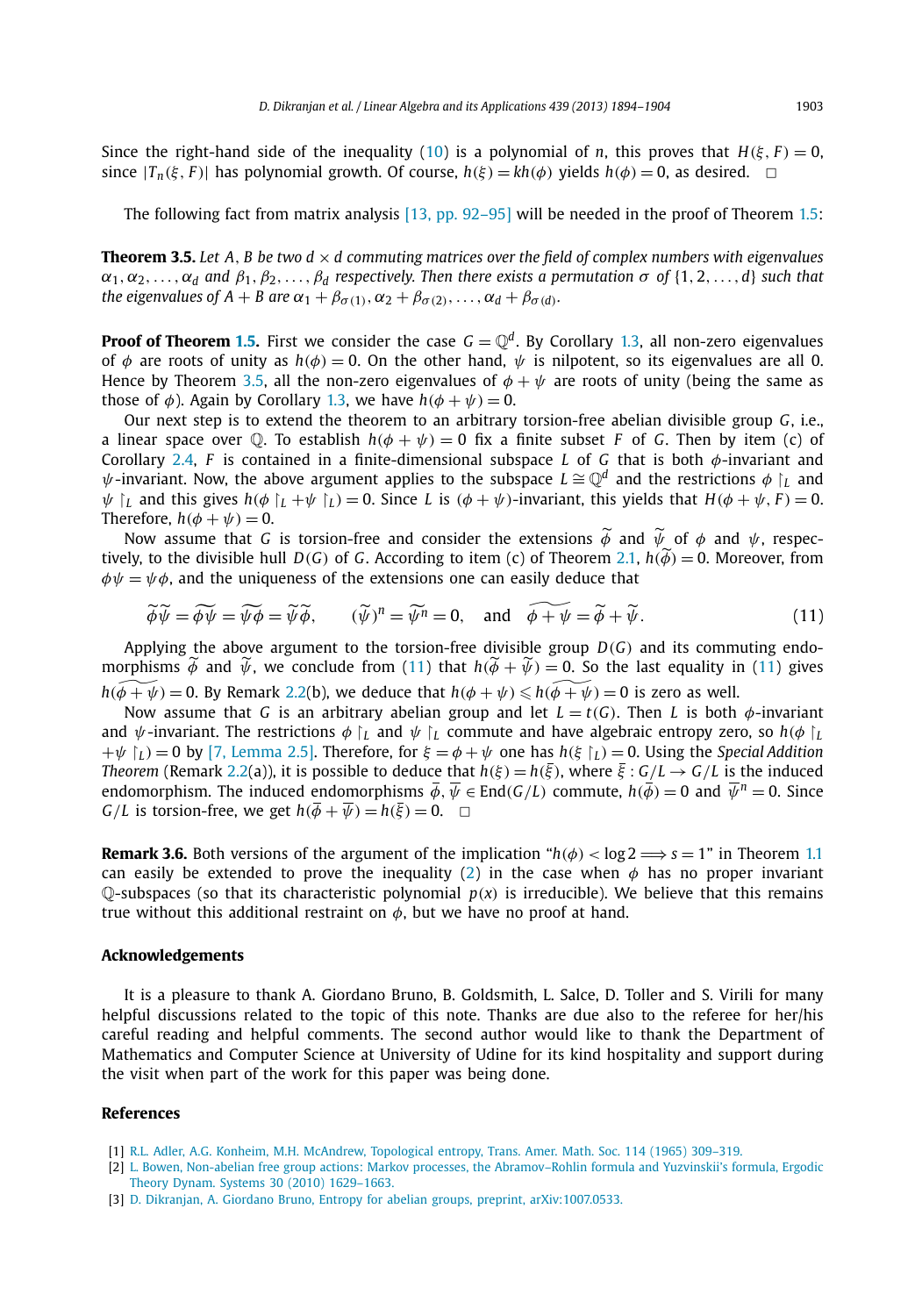<span id="page-10-0"></span>Since the right-hand side of the inequality [\(10\)](#page-9-0) is a polynomial of *n*, this proves that  $H(\xi, F) = 0$ , since  $|T_n(\xi, F)|$  has polynomial growth. Of course,  $h(\xi) = kh(\phi)$  yields  $h(\phi) = 0$ , as desired.  $\Box$ 

The following fact from matrix analysis [\[13, pp. 92–95\]](#page-11-0) will be needed in the proof of Theorem [1.5](#page-3-0):

**Theorem 3.5.** Let  $A$ ,  $B$  be two  $d \times d$  commuting matrices over the field of complex numbers with eigenvalues  $\alpha_1, \alpha_2, \ldots, \alpha_d$  *and*  $\beta_1, \beta_2, \ldots, \beta_d$  *respectively. Then there exists a permutation*  $\sigma$  *of* {1*,* 2*,...,d*} *such that the eigenvalues of A + B are*  $\alpha_1 + \beta_{\sigma(1)}, \alpha_2 + \beta_{\sigma(2)}, \ldots, \alpha_d + \beta_{\sigma(d)}$ *.* 

**Proof of Theorem [1.5.](#page-3-0)** First we consider the case  $G = \mathbb{Q}^d$ . By Corollary [1.3,](#page-3-0) all non-zero eigenvalues of  $\phi$  are roots of unity as  $h(\phi) = 0$ . On the other hand,  $\psi$  is nilpotent, so its eigenvalues are all 0. Hence by Theorem 3.5, all the non-zero eigenvalues of  $\phi + \psi$  are roots of unity (being the same as those of  $\phi$ ). Again by Corollary [1.3,](#page-3-0) we have  $h(\phi + \psi) = 0$ .

Our next step is to extend the theorem to an arbitrary torsion-free abelian divisible group *G*, i.e., a linear space over  $\mathbb{Q}$ . To establish  $h(\phi + \psi) = 0$  fix a finite subset *F* of *G*. Then by item (c) of Corollary [2.4,](#page-5-0) *F* is contained in a finite-dimensional subspace *L* of *G* that is both *φ*-invariant and  $\psi$ -invariant. Now, the above argument applies to the subspace  $L \cong \mathbb{Q}^d$  and the restrictions  $\phi$  *L* and  $\psi$   $\lbrack$ *L* and this gives  $h(\phi \lbrack L + \psi \lbrack L) = 0$ . Since *L* is  $(\phi + \psi)$ -invariant, this yields that  $H(\phi + \psi, F) = 0$ . Therefore,  $h(\phi + \psi) = 0$ .

Now assume that *G* is torsion-free and consider the extensions *φ* and *ψ* of *φ* and *ψ*, respec-<br>Ny to the divisible bull D(C) of *G* According to item (c) of Theorem 2.1 *h*( $\delta$ ) – 0 Moreover from tively, to the divisible hull  $D(G)$  of *G*. According to item (c) of Theorem [2.1,](#page-4-0)  $h(\phi) = 0$ . Moreover, from  $\phi \psi = \psi \phi$ , and the uniqueness of the extensions one can easily deduce that

$$
\widetilde{\phi}\widetilde{\psi} = \widetilde{\phi\psi} = \widetilde{\psi\phi} = \widetilde{\psi\phi}, \qquad (\widetilde{\psi})^n = \widetilde{\psi^n} = 0, \quad \text{and} \quad \widetilde{\phi + \psi} = \widetilde{\phi} + \widetilde{\psi}. \tag{11}
$$

Applying the above argument to the torsion-free divisible group  $D(G)$  and its commuting endomorphisms  $\phi$  and  $\psi$ , we conclude from (11) that  $h(\phi + \psi) = 0$ . So the last equality in (11) gives  $h(\widetilde{\phi + \psi}) = 0$ . By Remark [2.2\(](#page-4-0)b), we deduce that  $h(\phi + \psi) \leqslant h(\widetilde{\phi + \psi}) = 0$  is zero as well.

Now assume that *G* is an arbitrary abelian group and let  $L = t(G)$ . Then *L* is both  $\phi$ -invariant and  $\psi$ -invariant. The restrictions  $\phi \restriction_L$  and  $\psi \restriction_L$  commute and have algebraic entropy zero, so  $h(\phi \restriction_L$  $+\psi$   $\Gamma$   $\Gamma$  = 0 by [\[7, Lemma 2.5\].](#page-11-0) Therefore, for  $\xi = \phi + \psi$  one has  $h(\xi | \Gamma) = 0$ . Using the *Special Addition Theorem* (Remark [2.2\(](#page-4-0)a)), it is possible to deduce that  $h(\xi) = h(\xi)$ , where  $\xi : G/L \to G/L$  is the induced endomorphism. The induced endomorphisms  $\overline{\phi}$ ,  $\overline{\psi} \in$  End(*G*/*L*) commute,  $h(\overline{\phi}) = 0$  and  $\overline{\psi}^n = 0$ . Since *G*/*L* is torsion-free, we get  $h(\overline{\phi} + \overline{\psi}) = h(\overline{\xi}) = 0$ .  $\Box$ 

**Remark 3.6.** Both versions of the argument of the implication " $h(\phi) < \log 2 \implies s = 1$ " in Theorem [1.1](#page-2-0) can easily be extended to prove the inequality [\(2\)](#page-4-0) in the case when  $\phi$  has no proper invariant  $\mathbb{O}$ -subspaces (so that its characteristic polynomial  $p(x)$  is irreducible). We believe that this remains true without this additional restraint on *φ*, but we have no proof at hand.

#### **Acknowledgements**

It is a pleasure to thank A. Giordano Bruno, B. Goldsmith, L. Salce, D. Toller and S. Virili for many helpful discussions related to the topic of this note. Thanks are due also to the referee for her/his careful reading and helpful comments. The second author would like to thank the Department of Mathematics and Computer Science at University of Udine for its kind hospitality and support during the visit when part of the work for this paper was being done.

#### **References**

- [1] [R.L. Adler, A.G. Konheim, M.H. McAndrew, Topological entropy, Trans. Amer. Math. Soc. 114 \(1965\) 309–319.](http://refhub.elsevier.com/S0024-3795(13)00363-7/bib414B4Ds1)
- [2] L. [Bowen, Non-abelian free group actions: Markov processes, the Abramov–Rohlin formula and Yuzvinskii's formula, Ergodic](http://refhub.elsevier.com/S0024-3795(13)00363-7/bib4C3A42s1) [Theory Dynam. Systems 30 \(2010\) 1629–1663.](http://refhub.elsevier.com/S0024-3795(13)00363-7/bib4C3A42s1)
- [3] D. [Dikranjan, A. Giordano Bruno, Entropy for abelian groups, preprint, arXiv:1007.0533.](http://refhub.elsevier.com/S0024-3795(13)00363-7/bib444731s1)